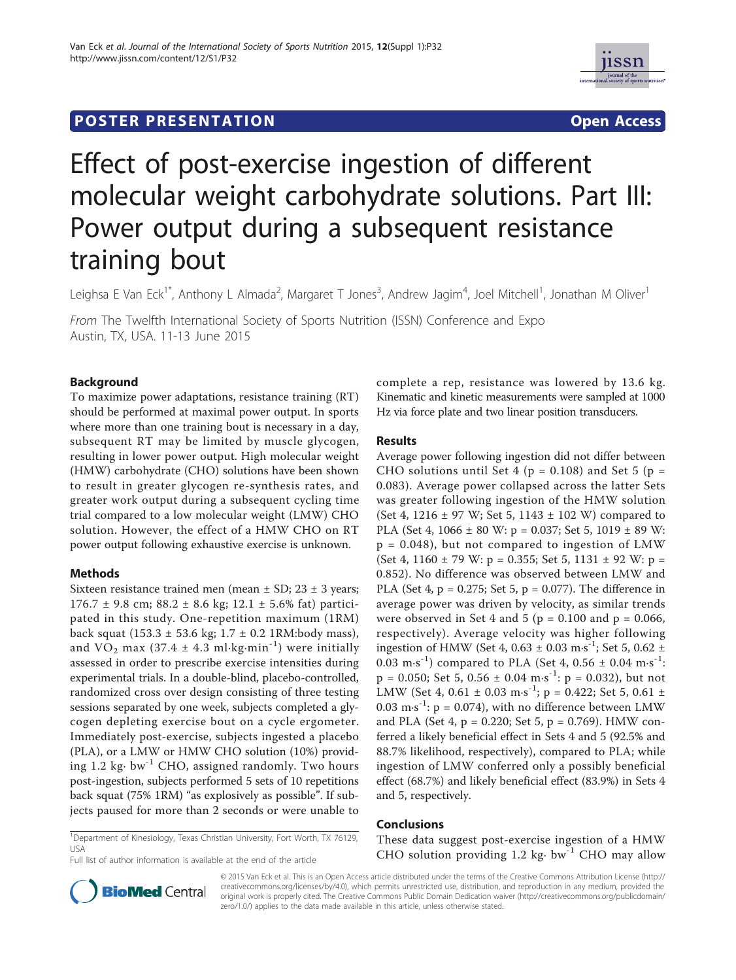



# Effect of post-exercise ingestion of different molecular weight carbohydrate solutions. Part III: Power output during a subsequent resistance training bout

Leighsa E Van Eck<sup>1\*</sup>, Anthony L Almada<sup>2</sup>, Margaret T Jones<sup>3</sup>, Andrew Jagim<sup>4</sup>, Joel Mitchell<sup>1</sup>, Jonathan M Oliver<sup>1</sup>

From The Twelfth International Society of Sports Nutrition (ISSN) Conference and Expo Austin, TX, USA. 11-13 June 2015

## Background

To maximize power adaptations, resistance training (RT) should be performed at maximal power output. In sports where more than one training bout is necessary in a day, subsequent RT may be limited by muscle glycogen, resulting in lower power output. High molecular weight (HMW) carbohydrate (CHO) solutions have been shown to result in greater glycogen re-synthesis rates, and greater work output during a subsequent cycling time trial compared to a low molecular weight (LMW) CHO solution. However, the effect of a HMW CHO on RT power output following exhaustive exercise is unknown.

## Methods

Sixteen resistance trained men (mean  $\pm$  SD; 23  $\pm$  3 years;  $176.7 \pm 9.8$  cm;  $88.2 \pm 8.6$  kg;  $12.1 \pm 5.6$ % fat) participated in this study. One-repetition maximum (1RM) back squat (153.3  $\pm$  53.6 kg; 1.7  $\pm$  0.2 1RM:body mass), and  $VO_2$  max (37.4  $\pm$  4.3 ml·kg·min<sup>-1</sup>) were initially assessed in order to prescribe exercise intensities during experimental trials. In a double-blind, placebo-controlled, randomized cross over design consisting of three testing sessions separated by one week, subjects completed a glycogen depleting exercise bout on a cycle ergometer. Immediately post-exercise, subjects ingested a placebo (PLA), or a LMW or HMW CHO solution (10%) providing 1.2 kg· bw-1 CHO, assigned randomly. Two hours post-ingestion, subjects performed 5 sets of 10 repetitions back squat (75% 1RM) "as explosively as possible". If subjects paused for more than 2 seconds or were unable to

complete a rep, resistance was lowered by 13.6 kg. Kinematic and kinetic measurements were sampled at 1000 Hz via force plate and two linear position transducers.

## Results

Average power following ingestion did not differ between CHO solutions until Set 4 ( $p = 0.108$ ) and Set 5 ( $p =$ 0.083). Average power collapsed across the latter Sets was greater following ingestion of the HMW solution (Set 4, 1216  $\pm$  97 W; Set 5, 1143  $\pm$  102 W) compared to PLA (Set 4, 1066 ± 80 W: p = 0.037; Set 5, 1019 ± 89 W:  $p = 0.048$ , but not compared to ingestion of LMW (Set 4, 1160  $\pm$  79 W: p = 0.355; Set 5, 1131  $\pm$  92 W: p = 0.852). No difference was observed between LMW and PLA (Set 4, p = 0.275; Set 5, p = 0.077). The difference in average power was driven by velocity, as similar trends were observed in Set 4 and 5 ( $p = 0.100$  and  $p = 0.066$ , respectively). Average velocity was higher following ingestion of HMW (Set 4, 0.63  $\pm$  0.03 m·s<sup>-1</sup>; Set 5, 0.62  $\pm$ 0.03 m·s<sup>-1</sup>) compared to PLA (Set 4, 0.56  $\pm$  0.04 m·s<sup>-1</sup>:  $p = 0.050$ ; Set 5, 0.56  $\pm$  0.04 m·s<sup>-1</sup>:  $p = 0.032$ ), but not LMW (Set 4, 0.61  $\pm$  0.03 m·s<sup>-1</sup>; p = 0.422; Set 5, 0.61  $\pm$ 0.03 m·s<sup>-1</sup>:  $p = 0.074$ ), with no difference between LMW and PLA (Set 4,  $p = 0.220$ ; Set 5,  $p = 0.769$ ). HMW conferred a likely beneficial effect in Sets 4 and 5 (92.5% and 88.7% likelihood, respectively), compared to PLA; while ingestion of LMW conferred only a possibly beneficial effect (68.7%) and likely beneficial effect (83.9%) in Sets 4 and 5, respectively.

## Conclusions

These data suggest post-exercise ingestion of a HMW CHO solution providing  $1.2 \text{ kg} \cdot \text{bw}^{-1}$  CHO may allow

<sup>1</sup>Department of Kinesiology, Texas Christian University, Fort Worth, TX 76129, USA

Full list of author information is available at the end of the article



© 2015 Van Eck et al. This is an Open Access article distributed under the terms of the Creative Commons Attribution License (http:// creativecommons.org/licenses/by/4.0), which permits unrestricted use, distribution, and reproduction in any medium, provided the original work is properly cited. The Creative Commons Public Domain Dedication waiver (http://creativecommons.org/publicdomain/ zero/1.0/) applies to the data made available in this article, unless otherwise stated.